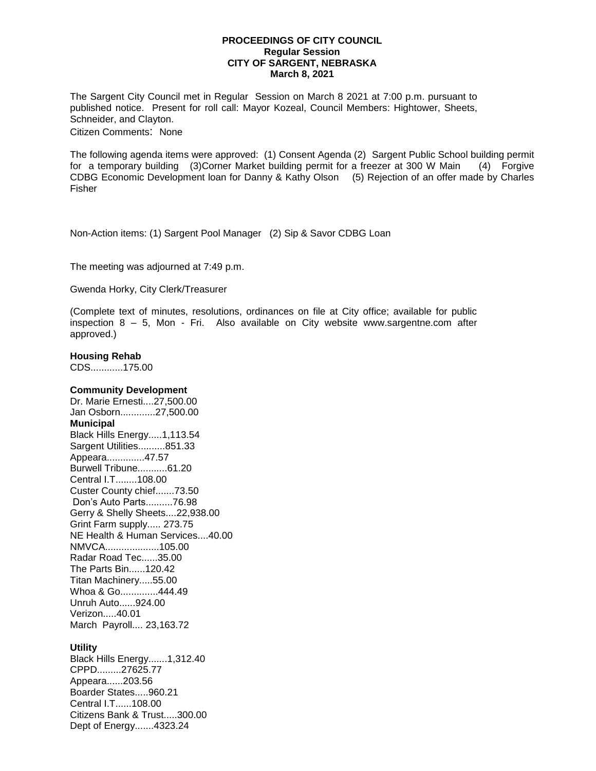## **PROCEEDINGS OF CITY COUNCIL Regular Session CITY OF SARGENT, NEBRASKA March 8, 2021**

The Sargent City Council met in Regular Session on March 8 2021 at 7:00 p.m. pursuant to published notice. Present for roll call: Mayor Kozeal, Council Members: Hightower, Sheets, Schneider, and Clayton. Citizen Comments: None

The following agenda items were approved: (1) Consent Agenda (2) Sargent Public School building permit for a temporary building (3)Corner Market building permit for a freezer at 300 W Main (4) Forgive CDBG Economic Development loan for Danny & Kathy Olson (5) Rejection of an offer made by Charles Fisher

Non-Action items: (1) Sargent Pool Manager (2) Sip & Savor CDBG Loan

The meeting was adjourned at 7:49 p.m.

Gwenda Horky, City Clerk/Treasurer

(Complete text of minutes, resolutions, ordinances on file at City office; available for public inspection 8 – 5, Mon - Fri. Also available on City website www.sargentne.com after approved.)

## **Housing Rehab**

CDS............175.00

## **Community Development**

Dr. Marie Ernesti....27,500.00 Jan Osborn.............27,500.00 **Municipal** Black Hills Energy.....1,113.54 Sargent Utilities..........851.33 Appeara..............47.57 Burwell Tribune...........61.20 Central I.T........108.00 Custer County chief.......73.50 Don's Auto Parts..........76.98 Gerry & Shelly Sheets....22,938.00 Grint Farm supply..... 273.75 NE Health & Human Services....40.00 NMVCA....................105.00 Radar Road Tec......35.00 The Parts Bin......120.42 Titan Machinery.....55.00 Whoa & Go..............444.49 Unruh Auto......924.00 Verizon.....40.01 March Payroll.... 23,163.72

## **Utility**

Black Hills Energy.......1,312.40 CPPD.........27625.77 Appeara......203.56 Boarder States.....960.21 Central I.T......108.00 Citizens Bank & Trust.....300.00 Dept of Energy.......4323.24